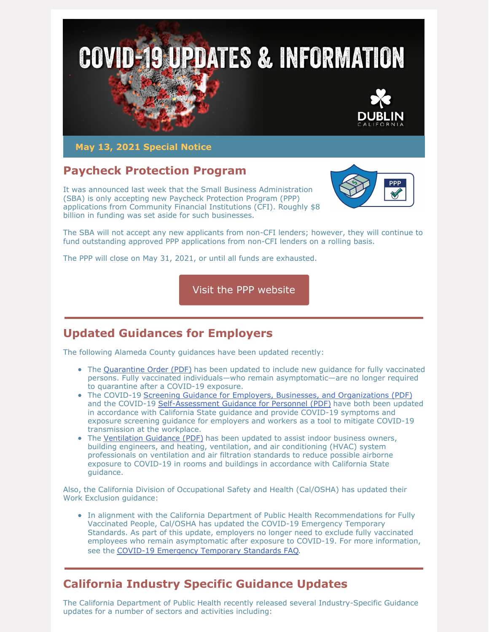

**May 13, 2021 Special Notice**

# **Paycheck Protection Program**

It was announced last week that the Small Business Administration (SBA) is only accepting new Paycheck Protection Program (PPP) applications from Community Financial Institutions (CFI). Roughly \$8 billion in funding was set aside for such businesses.



The SBA will not accept any new applicants from non-CFI lenders; however, they will continue to fund outstanding approved PPP applications from non-CFI lenders on a rolling basis.

The PPP will close on May 31, 2021, or until all funds are exhausted.

Visit the PPP [website](https://www.sba.gov/funding-programs/loans/covid-19-relief-options/paycheck-protection-program)

# **Updated Guidances for Employers**

The following Alameda County guidances have been updated recently:

- The [Quarantine](https://covid-19.acgov.org/covid19-assets/docs/isolation-quarantine/20-06i-hoo-blanket-quarantine-english-2021.05.05.pdf) Order (PDF) has been updated to include new quidance for fully vaccinated persons. Fully vaccinated individuals—who remain asymptomatic—are no longer required to quarantine after a COVID-19 exposure.
- The COVID-19 Screening Guidance for Employers, Businesses, and [Organizations](https://covid-19.acgov.org/covid19-assets/docs/recovery/screening-guidance-for-businesses-and-organizations-eng-2021.05.07.pdf) (PDF) and the COVID-19 [Self-Assessment](https://covid-19.acgov.org/covid19-assets/docs/recovery/self-assessment-screening-guidance-for-personnel-eng-2021.05.07.pdf) Guidance for Personnel (PDF) have both been updated in accordance with California State guidance and provide COVID-19 symptoms and exposure screening guidance for employers and workers as a tool to mitigate COVID-19 transmission at the workplace.
- The [Ventilation](https://covid-19.acgov.org/covid19-assets/docs/recovery/general-business-ventilation-guidance-eng-2021.04.29.pdf) Guidance (PDF) has been updated to assist indoor business owners, building engineers, and heating, ventilation, and air conditioning (HVAC) system professionals on ventilation and air filtration standards to reduce possible airborne exposure to COVID-19 in rooms and buildings in accordance with California State guidance.

Also, the California Division of Occupational Safety and Health (Cal/OSHA) has updated their Work Exclusion guidance:

• In alignment with the California Department of Public Health Recommendations for Fully Vaccinated People, Cal/OSHA has updated the COVID-19 Emergency Temporary Standards. As part of this update, employers no longer need to exclude fully vaccinated employees who remain asymptomatic after exposure to COVID-19. For more information, see the COVID-19 [Emergency](https://www.dir.ca.gov/dosh/coronavirus/COVID19FAQs.html#outbreaks) Temporary Standards FAQ.

# **California Industry Specific Guidance Updates**

The California Department of Public Health recently released several Industry-Specific Guidance updates for a number of sectors and activities including: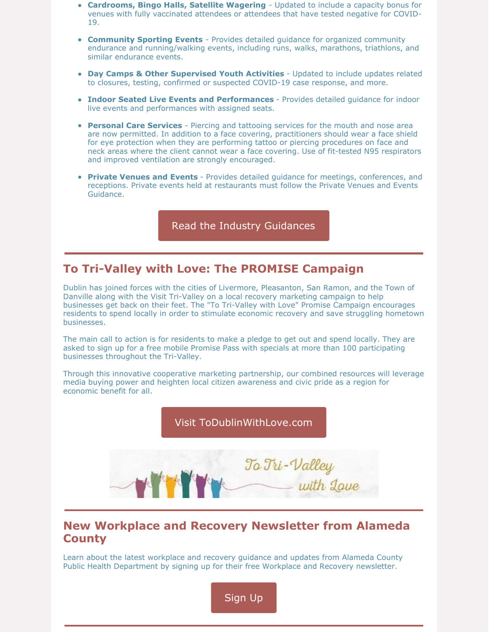- **Cardrooms, Bingo Halls, Satellite Wagering** Updated to include a capacity bonus for venues with fully vaccinated attendees or attendees that have tested negative for COVID-19.
- **Community Sporting Events** Provides detailed guidance for organized community endurance and running/walking events, including runs, walks, marathons, triathlons, and similar endurance events.
- **Day Camps & Other Supervised Youth Activities** Updated to include updates related to closures, testing, confirmed or suspected COVID-19 case response, and more.
- **Indoor Seated Live Events and Performances** Provides detailed guidance for indoor live events and performances with assigned seats.
- **Personal Care Services** Piercing and tattooing services for the mouth and nose area are now permitted. In addition to a face covering, practitioners should wear a face shield for eye protection when they are performing tattoo or piercing procedures on face and neck areas where the client cannot wear a face covering. Use of fit-tested N95 respirators and improved ventilation are strongly encouraged.
- **Private Venues and Events** Provides detailed guidance for meetings, conferences, and receptions. Private events held at restaurants must follow the Private Venues and Events Guidance.

Read the Industry [Guidances](https://covid19.ca.gov/industry-guidance/)

### **To Tri-Valley with Love: The PROMISE Campaign**

Dublin has joined forces with the cities of Livermore, Pleasanton, San Ramon, and the Town of Danville along with the Visit Tri-Valley on a local recovery marketing campaign to help businesses get back on their feet. The "To Tri-Valley with Love" Promise Campaign encourages residents to spend locally in order to stimulate economic recovery and save struggling hometown businesses.

The main call to action is for residents to make a pledge to get out and spend locally. They are asked to sign up for a free mobile Promise Pass with specials at more than 100 participating businesses throughout the Tri-Valley.

Through this innovative cooperative marketing partnership, our combined resources will leverage media buying power and heighten local citizen awareness and civic pride as a region for economic benefit for all.



## **New Workplace and Recovery Newsletter from Alameda County**

Learn about the latest workplace and recovery guidance and updates from Alameda County Public Health Department by signing up for their free Workplace and Recovery newsletter.

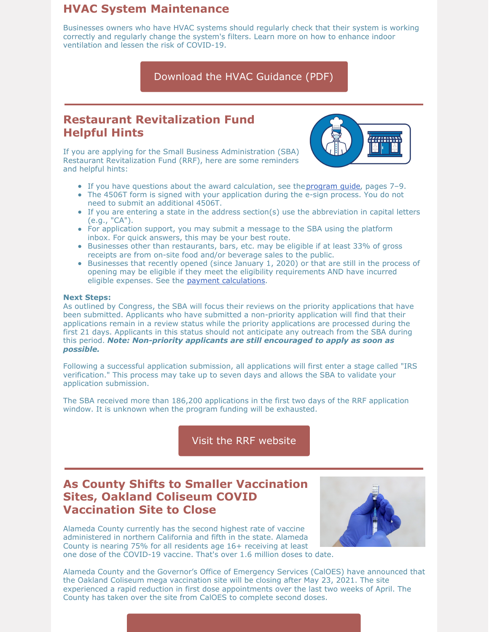## **HVAC System Maintenance**

Businesses owners who have HVAC systems should regularly check that their system is working correctly and regularly change the system's filters. Learn more on how to enhance indoor ventilation and lessen the risk of COVID-19.

### [Download](https://covid-19.acgov.org/covid19-assets/docs/recovery/general-business-ventilation-guidance-eng-2021.01.13.pdf) the HVAC Guidance (PDF)

## **Restaurant Revitalization Fund Helpful Hints**

If you are applying for the Small Business Administration (SBA) Restaurant Revitalization Fund (RRF), here are some reminders and helpful hints:



- If you have questions about the award calculation, see the[program](https://lnks.gd/l/eyJhbGciOiJIUzI1NiJ9.eyJidWxsZXRpbl9saW5rX2lkIjoxMDAsInVyaSI6ImJwMjpjbGljayIsImJ1bGxldGluX2lkIjoiMjAyMTA1MDQuMzk5Mjg4MDEiLCJ1cmwiOiJodHRwczovL3d3dy5zYmEuZ292L2RvY3VtZW50L3N1cHBvcnQtcmVzdGF1cmFudC1yZXZpdGFsaXphdGlvbi1mdW5kaW5nLXByb2dyYW0tZ3VpZGU_dXRtX21lZGl1bT1lbWFpbCZ1dG1fc291cmNlPWdvdmRlbGl2ZXJ5In0.W1plBLZhiC8GuY8l4i9f6ehWEYnLz8zwIRLTuLm8gpo/s/908094398/br/105860142930-l) guide, pages 7–9.
- The 4506T form is signed with your application during the e-sign process. You do not need to submit an additional 4506T.
- $\bullet$  If you are entering a state in the address section(s) use the abbreviation in capital letters (e.g., "CA").
- For application support, you may submit a message to the SBA using the platform inbox. For quick answers, this may be your best route.
- Businesses other than restaurants, bars, etc. may be eligible if at least 33% of gross receipts are from on-site food and/or beverage sales to the public.
- Businesses that recently opened (since January 1, 2020) or that are still in the process of opening may be eligible if they meet the eligibility requirements AND have incurred eligible expenses. See the payment [calculations](https://www.sba.gov/funding-programs/loans/covid-19-relief-options/restaurant-revitalization-fund#section-header-16).

#### **Next Steps:**

As outlined by Congress, the SBA will focus their reviews on the priority applications that have been submitted. Applicants who have submitted a non-priority application will find that their applications remain in a review status while the priority applications are processed during the first 21 days. Applicants in this status should not anticipate any outreach from the SBA during this period. *Note: Non-priority applicants are still encouraged to apply as soon as possible.*

Following a successful application submission, all applications will first enter a stage called "IRS verification." This process may take up to seven days and allows the SBA to validate your application submission.

The SBA received more than 186,200 applications in the first two days of the RRF application window. It is unknown when the program funding will be exhausted.

Visit the RRF [website](https://www.sba.gov/funding-programs/loans/covid-19-relief-options/restaurant-revitalization-fund#section-header-0)

# **As County Shifts to Smaller Vaccination Sites, Oakland Coliseum COVID Vaccination Site to Close**

Alameda County currently has the second highest rate of vaccine administered in northern California and fifth in the state. Alameda County is nearing 75% for all residents age 16+ receiving at least one dose of the COVID-19 vaccine. That's over 1.6 million doses to date.



Alameda County and the Governor's Office of Emergency Services (CalOES) have announced that the Oakland Coliseum mega vaccination site will be closing after May 23, 2021. The site experienced a rapid reduction in first dose appointments over the last two weeks of April. The County has taken over the site from CalOES to complete second doses.